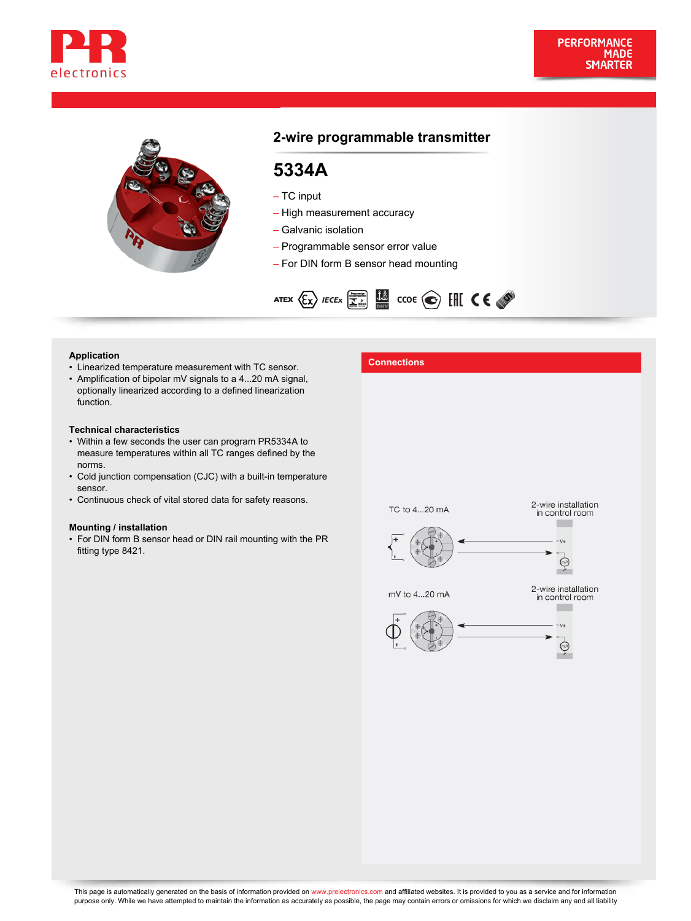



# **2-wire programmable transmitter**

# **5334A**

– TC input

- High measurement accuracy
- Galvanic isolation
- Programmable sensor error value
- For DIN form B sensor head mounting



- **Application**<br>• Linearized temperature measurement with TC sensor. **Connections**
- Amplification of bipolar mV signals to a 4...20 mA signal, optionally linearized according to a defined linearization function.

#### **Technical characteristics**

- Within a few seconds the user can program PR5334A to measure temperatures within all TC ranges defined by the norms.
- Cold junction compensation (CJC) with a built-in temperature sensor.
- Continuous check of vital stored data for safety reasons.

#### **Mounting / installation**

• For DIN form B sensor head or DIN rail mounting with the PR fitting type 8421.